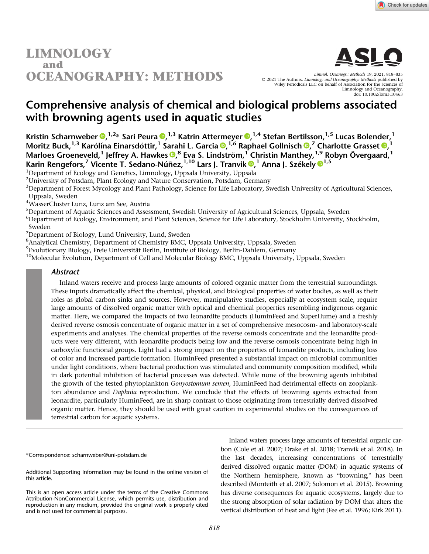# **LIMNOLOGY** and **OCEANOGRAPHY: METHODS**



Limnol. Oceanogr.: Methods 19, 2021, 818–835 © 2021 The Authors. Limnology and Oceanography: Methods published by Wiley Periodicals LLC on behalf of Association for the Sciences of Limnology and Oceanography. doi: 10.1002/lom3.10463

# Comprehensive analysis of chemical and biological problems associated with browning agents used in aquatic studies

Kristin Scharnweber ®[,](https://orcid.org/0000-0003-2858-5947) <sup>1,2</sup>\* Sari Peura ®, <sup>1,3</sup> Katrin Attermeyer ®, <sup>1,4</sup> Stefan Bertilsson, <sup>1,5</sup> Lucas Bolender, <sup>1</sup> Moritz Buck[,](https://orcid.org/0000-0001-6177-8877) <sup>1,3</sup> Karólína Einarsdóttir, <sup>1</sup> Sarahi L. Garcia ®, <sup>1,6</sup> Raphael Gollnisch ®,<sup>7</sup> Charlotte Grasset ®, <sup>1</sup> Marloes Groeneveld[,](https://orcid.org/0000-0003-0664-2242) <sup>1</sup> Jeffrey A. Hawkes <sup>®, 8</sup> Eva S. Lindström, <sup>1</sup> Christin Manthey, <sup>1,9</sup> Robyn Övergaard, <sup>1</sup> Karin Rengefors[,](https://orcid.org/0000-0003-3509-8266)<sup>7</sup> Vicente T. Sedano-Núñez,<sup>[1](https://orcid.org/0000-0001-8063-7156),10</sup> Lars J. Tranvik <sup>®,1</sup> Anna J. Székely ®<sup>1,5</sup>

<sup>1</sup>Department of Ecology and Genetics, Limnology, Uppsala University, Uppsala

<sup>2</sup>University of Potsdam, Plant Ecology and Nature Conservation, Potsdam, Germany

<sup>3</sup>Department of Forest Mycology and Plant Pathology, Science for Life Laboratory, Swedish University of Agricultural Sciences, Uppsala, Sweden

4 WasserCluster Lunz, Lunz am See, Austria

5 Department of Aquatic Sciences and Assessment, Swedish University of Agricultural Sciences, Uppsala, Sweden

6 Department of Ecology, Environment, and Plant Sciences, Science for Life Laboratory, Stockholm University, Stockholm, Sweden

<sup>7</sup>Department of Biology, Lund University, Lund, Sweden

<sup>8</sup> Analytical Chemistry, Department of Chemistry BMC, Uppsala University, Uppsala, Sweden

9 Evolutionary Biology, Freie Universität Berlin, Institute of Biology, Berlin-Dahlem, Germany

<sup>10</sup>Molecular Evolution, Department of Cell and Molecular Biology BMC, Uppsala University, Uppsala, Sweden

# Abstract

Inland waters receive and process large amounts of colored organic matter from the terrestrial surroundings. These inputs dramatically affect the chemical, physical, and biological properties of water bodies, as well as their roles as global carbon sinks and sources. However, manipulative studies, especially at ecosystem scale, require large amounts of dissolved organic matter with optical and chemical properties resembling indigenous organic matter. Here, we compared the impacts of two leonardite products (HuminFeed and SuperHume) and a freshly derived reverse osmosis concentrate of organic matter in a set of comprehensive mesocosm- and laboratory-scale experiments and analyses. The chemical properties of the reverse osmosis concentrate and the leonardite products were very different, with leonardite products being low and the reverse osmosis concentrate being high in carboxylic functional groups. Light had a strong impact on the properties of leonardite products, including loss of color and increased particle formation. HuminFeed presented a substantial impact on microbial communities under light conditions, where bacterial production was stimulated and community composition modified, while in dark potential inhibition of bacterial processes was detected. While none of the browning agents inhibited the growth of the tested phytoplankton Gonyostomum semen, HuminFeed had detrimental effects on zooplankton abundance and *Daphnia* reproduction. We conclude that the effects of browning agents extracted from leonardite, particularly HuminFeed, are in sharp contrast to those originating from terrestrially derived dissolved organic matter. Hence, they should be used with great caution in experimental studies on the consequences of terrestrial carbon for aquatic systems.

Inland waters process large amounts of terrestrial organic carbon (Cole et al. 2007; Drake et al. 2018; Tranvik et al. 2018). In the last decades, increasing concentrations of terrestrially derived dissolved organic matter (DOM) in aquatic systems of the Northern hemisphere, known as "browning," has been described (Monteith et al. 2007; Solomon et al. 2015). Browning has diverse consequences for aquatic ecosystems, largely due to the strong absorption of solar radiation by DOM that alters the vertical distribution of heat and light (Fee et al. 1996; Kirk 2011).

<sup>\*</sup>Correspondence: [scharnweber@uni-potsdam.de](mailto:scharnweber@uni-potsdam.de)

Additional Supporting Information may be found in the online version of this article.

This is an open access article under the terms of the [Creative Commons](http://creativecommons.org/licenses/by-nc/4.0/) [Attribution-NonCommercial](http://creativecommons.org/licenses/by-nc/4.0/) License, which permits use, distribution and reproduction in any medium, provided the original work is properly cited and is not used for commercial purposes.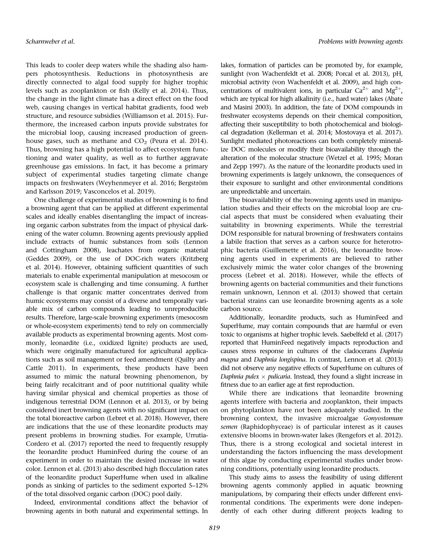This leads to cooler deep waters while the shading also hampers photosynthesis. Reductions in photosynthesis are directly connected to algal food supply for higher trophic levels such as zooplankton or fish (Kelly et al. 2014). Thus, the change in the light climate has a direct effect on the food web, causing changes in vertical habitat gradients, food web structure, and resource subsidies (Williamson et al. 2015). Furthermore, the increased carbon inputs provide substrates for the microbial loop, causing increased production of greenhouse gases, such as methane and  $CO<sub>2</sub>$  (Peura et al. 2014). Thus, browning has a high potential to affect ecosystem functioning and water quality, as well as to further aggravate greenhouse gas emissions. In fact, it has become a primary subject of experimental studies targeting climate change impacts on freshwaters (Weyhenmeyer et al. 2016; Bergström and Karlsson 2019; Vasconcelos et al. 2019).

One challenge of experimental studies of browning is to find a browning agent that can be applied at different experimental scales and ideally enables disentangling the impact of increasing organic carbon substrates from the impact of physical darkening of the water column. Browning agents previously applied include extracts of humic substances from soils (Lennon and Cottingham 2008), leachates from organic material (Geddes 2009), or the use of DOC-rich waters (Kritzberg et al. 2014). However, obtaining sufficient quantities of such materials to enable experimental manipulation at mesocosm or ecosystem scale is challenging and time consuming. A further challenge is that organic matter concentrates derived from humic ecosystems may consist of a diverse and temporally variable mix of carbon compounds leading to unreproducible results. Therefore, large-scale browning experiments (mesocosm or whole-ecosystem experiments) tend to rely on commercially available products as experimental browning agents. Most commonly, leonardite (i.e., oxidized lignite) products are used, which were originally manufactured for agricultural applications such as soil management or feed amendment (Quilty and Cattle 2011). In experiments, these products have been assumed to mimic the natural browning phenomenon, by being fairly recalcitrant and of poor nutritional quality while having similar physical and chemical properties as those of indigenous terrestrial DOM (Lennon et al. 2013), or by being considered inert browning agents with no significant impact on the total bioreactive carbon (Lebret et al. 2018). However, there are indications that the use of these leonardite products may present problems in browning studies. For example, Urrutia-Cordero et al. (2017) reported the need to frequently resupply the leonardite product HuminFeed during the course of an experiment in order to maintain the desired increase in water color. Lennon et al. (2013) also described high flocculation rates of the leonardite product SuperHume when used in alkaline ponds as sinking of particles to the sediment exported 5–12% of the total dissolved organic carbon (DOC) pool daily.

Indeed, environmental conditions affect the behavior of browning agents in both natural and experimental settings. In

lakes, formation of particles can be promoted by, for example, sunlight (von Wachenfeldt et al. 2008; Porcal et al. 2013), pH, microbial activity (von Wachenfeldt et al. 2009), and high concentrations of multivalent ions, in particular  $Ca^{2+}$  and  $Mg^{2+}$ , which are typical for high alkalinity (i.e., hard water) lakes (Abate and Masini 2003). In addition, the fate of DOM compounds in freshwater ecosystems depends on their chemical composition, affecting their susceptibility to both photochemical and biological degradation (Kellerman et al. 2014; Mostovaya et al. 2017). Sunlight mediated photoreactions can both completely mineralize DOC molecules or modify their bioavailability through the alteration of the molecular structure (Wetzel et al. 1995; Moran and Zepp 1997). As the nature of the leonardite products used in browning experiments is largely unknown, the consequences of their exposure to sunlight and other environmental conditions are unpredictable and uncertain.

The bioavailability of the browning agents used in manipulation studies and their effects on the microbial loop are crucial aspects that must be considered when evaluating their suitability in browning experiments. While the terrestrial DOM responsible for natural browning of freshwaters contains a labile fraction that serves as a carbon source for heterotrophic bacteria (Guillemette et al. 2016), the leonardite browning agents used in experiments are believed to rather exclusively mimic the water color changes of the browning process (Lebret et al. 2018). However, while the effects of browning agents on bacterial communities and their functions remain unknown, Lennon et al. (2013) showed that certain bacterial strains can use leonardite browning agents as a sole carbon source.

Additionally, leonardite products, such as HuminFeed and SuperHume, may contain compounds that are harmful or even toxic to organisms at higher trophic levels. Saebelfeld et al. (2017) reported that HuminFeed negatively impacts reproduction and causes stress response in cultures of the cladocerans Daphnia magna and Daphnia longispina. In contrast, Lennon et al. (2013) did not observe any negative effects of SuperHume on cultures of Daphnia pulex  $\times$  pulicaria. Instead, they found a slight increase in fitness due to an earlier age at first reproduction.

While there are indications that leonardite browning agents interfere with bacteria and zooplankton, their impacts on phytoplankton have not been adequately studied. In the browning context, the invasive microalgae Gonyostomum semen (Raphidophyceae) is of particular interest as it causes extensive blooms in brown-water lakes (Rengefors et al. 2012). Thus, there is a strong ecological and societal interest in understanding the factors influencing the mass development of this algae by conducting experimental studies under browning conditions, potentially using leonardite products.

This study aims to assess the feasibility of using different browning agents commonly applied in aquatic browning manipulations, by comparing their effects under different environmental conditions. The experiments were done independently of each other during different projects leading to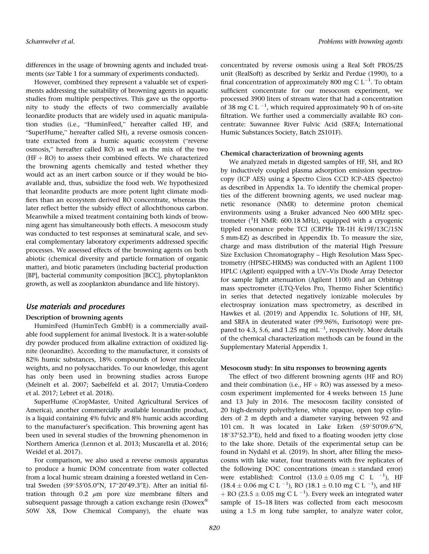differences in the usage of browning agents and included treatments (see Table 1 for a summary of experiments conducted).

However, combined they represent a valuable set of experiments addressing the suitability of browning agents in aquatic studies from multiple perspectives. This gave us the opportunity to study the effects of two commercially available leonardite products that are widely used in aquatic manipulation studies (i.e., "HuminFeed," hereafter called HF, and "SuperHume," hereafter called SH), a reverse osmosis concentrate extracted from a humic aquatic ecosystem ("reverse osmosis," hereafter called RO) as well as the mix of the two  $(HF + RO)$  to assess their combined effects. We characterized the browning agents chemically and tested whether they would act as an inert carbon source or if they would be bioavailable and, thus, subsidize the food web. We hypothesized that leonardite products are more potent light climate modifiers than an ecosystem derived RO concentrate, whereas the later reflect better the subsidy effect of allochthonous carbon. Meanwhile a mixed treatment containing both kinds of browning agent has simultaneously both effects. A mesocosm study was conducted to test responses at seminatural scale, and several complementary laboratory experiments addressed specific processes. We assessed effects of the browning agents on both abiotic (chemical diversity and particle formation of organic matter), and biotic parameters (including bacterial production [BP], bacterial community composition [BCC], phytoplankton growth, as well as zooplankton abundance and life history).

# Use materials and procedures

# Description of browning agents

HuminFeed (HuminTech GmbH) is a commercially available food supplement for animal livestock. It is a water-soluble dry powder produced from alkaline extraction of oxidized lignite (leonardite). According to the manufacturer, it consists of 82% humic substances, 18% compounds of lower molecular weights, and no polysaccharides. To our knowledge, this agent has only been used in browning studies across Europe (Meinelt et al. 2007; Saebelfeld et al. 2017; Urrutia-Cordero et al. 2017; Lebret et al. 2018).

SuperHume (CropMaster, United Agricultural Services of America), another commercially available leonardite product, is a liquid containing 4% fulvic and 8% humic acids according to the manufacturer's specification. This browning agent has been used in several studies of the browning phenomenon in Northern America (Lennon et al. 2013; Muscarella et al. 2016; Weidel et al. 2017).

For comparison, we also used a reverse osmosis apparatus to produce a humic DOM concentrate from water collected from a local humic stream draining a forested wetland in Central Sweden (59°55'05.0"N, 17°20'49.3"E). After an initial filtration through 0.2  $\mu$ m pore size membrane filters and subsequent passage through a cation exchange resin (Dowex<sup>®</sup> 50W X8, Dow Chemical Company), the eluate was concentrated by reverse osmosis using a Real Soft PROS/2S unit (RealSoft) as described by Serkiz and Perdue (1990), to a final concentration of approximately 800 mg C  $L^{-1}$ . To obtain sufficient concentrate for our mesocosm experiment, we processed 3900 liters of stream water that had a concentration of 38 mg C L $^{-1}$ , which required approximately 90 h of on-site filtration. We further used a commercially available RO concentrate: Suwannee River Fulvic Acid (SRFA; International Humic Substances Society, Batch 2S101F).

## Chemical characterization of browning agents

We analyzed metals in digested samples of HF, SH, and RO by inductively coupled plasma adsorption emission spectroscopy (ICP AES) using a Spectro Ciros CCD ICP-AES (Spectro) as described in Appendix 1a. To identify the chemical properties of the different browning agents, we used nuclear magnetic resonance (NMR) to determine proton chemical environments using a Bruker advanced Neo 600 MHz spectrometer (<sup>1</sup>H NMR: 600.18 MHz), equipped with a cryogenic tippled resonance probe TCI (CRPHe TR-1H &19F/13C/15N 5 mm-EZ) as described in Appendix 1b. To measure the size, charge and mass distribution of the material High Pressure Size Exclusion Chromatography – High Resolution Mass Spectrometry (HPSEC-HRMS) was conducted with an Agilent 1100 HPLC (Agilent) equipped with a UV–Vis Diode Array Detector for sample light attenuation (Agilent 1100) and an Orbitrap mass spectrometer (LTQ-Velos Pro, Thermo Fisher Scientific) in series that detected negatively ionizable molecules by electrospray ionization mass spectrometry, as described in Hawkes et al. (2019) and Appendix 1c. Solutions of HF, SH, and SRFA in deuterated water (99.96%, Eurisotop) were prepared to 4.3, 5.6, and 1.25 mg  $mL^{-1}$ , respectively. More details of the chemical characterization methods can be found in the Supplementary Material Appendix 1.

#### Mesocosm study: In situ responses to browning agents

The effect of two different browning agents (HF and RO) and their combination (i.e.,  $HF + RO$ ) was assessed by a mesocosm experiment implemented for 4 weeks between 15 June and 13 July in 2016. The mesocosm facility consisted of 20 high-density polyethylene, white opaque, open top cylinders of 2 m depth and a diameter varying between 92 and 101 cm. It was located in Lake Erken  $(59°50'09.6'N,$ 18°37'52.3"E), held and fixed to a floating wooden jetty close to the lake shore. Details of the experimental setup can be found in Nydahl et al. (2019). In short, after filling the mesocosms with lake water, four treatments with five replicates of the following DOC concentrations (mean  $\pm$  standard error) were established: Control  $(13.0 \pm 0.05 \text{ mg C L}^{-1})$ , HF  $(18.4 \pm 0.06 \text{ mg C L}^{-1})$ , RO  $(18.1 \pm 0.10 \text{ mg C L}^{-1})$ , and HF + RO (23.5  $\pm$  0.05 mg C L <sup>-1</sup>). Every week an integrated water sample of 15–18 liters was collected from each mesocosm using a 1.5 m long tube sampler, to analyze water color,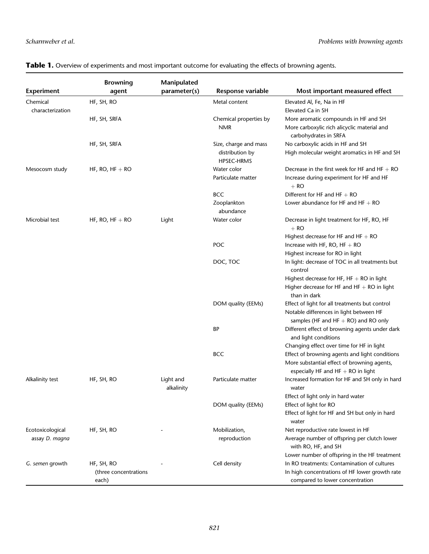| <b>Experiment</b>            | <b>Browning</b><br>agent | Manipulated<br>parameter(s) | Response variable                                      | Most important measured effect                                                                                                        |
|------------------------------|--------------------------|-----------------------------|--------------------------------------------------------|---------------------------------------------------------------------------------------------------------------------------------------|
| Chemical<br>characterization | HF, SH, RO               |                             | Metal content                                          | Elevated Al, Fe, Na in HF<br>Elevated Ca in SH                                                                                        |
|                              | HF, SH, SRFA             |                             | Chemical properties by<br><b>NMR</b>                   | More aromatic compounds in HF and SH<br>More carboxylic rich alicyclic material and<br>carbohydrates in SRFA                          |
|                              | HF, SH, SRFA             |                             | Size, charge and mass<br>distribution by<br>HPSEC-HRMS | No carboxylic acids in HF and SH<br>High molecular weight aromatics in HF and SH                                                      |
| Mesocosm study               | HF, RO, $HF + RO$        |                             | Water color<br>Particulate matter                      | Decrease in the first week for HF and HF $+$ RO<br>Increase during experiment for HF and HF<br>$+$ RO                                 |
|                              |                          |                             | <b>BCC</b>                                             | Different for HF and HF $+$ RO                                                                                                        |
|                              |                          |                             | Zooplankton<br>abundance                               | Lower abundance for HF and HF $+$ RO                                                                                                  |
| Microbial test               | HF, RO, $HF + RO$        | Light                       | Water color                                            | Decrease in light treatment for HF, RO, HF<br>$+$ RO                                                                                  |
|                              |                          |                             | POC                                                    | Highest decrease for HF and HF $+$ RO<br>Increase with HF, RO, HF $+$ RO<br>Highest increase for RO in light                          |
|                              |                          |                             | DOC, TOC                                               | In light: decrease of TOC in all treatments but<br>control                                                                            |
|                              |                          |                             |                                                        | Highest decrease for HF, $HF + RO$ in light<br>Higher decrease for HF and $HF + RO$ in light<br>than in dark                          |
|                              |                          |                             | DOM quality (EEMs)                                     | Effect of light for all treatments but control<br>Notable differences in light between HF<br>samples (HF and HF $+$ RO) and RO only   |
|                              |                          |                             | ВP                                                     | Different effect of browning agents under dark<br>and light conditions                                                                |
|                              |                          |                             |                                                        | Changing effect over time for HF in light                                                                                             |
|                              |                          |                             | <b>BCC</b>                                             | Effect of browning agents and light conditions<br>More substantial effect of browning agents,<br>especially HF and HF $+$ RO in light |
| Alkalinity test              | HF, SH, RO               | Light and<br>alkalinity     | Particulate matter                                     | Increased formation for HF and SH only in hard<br>water                                                                               |
|                              |                          |                             |                                                        | Effect of light only in hard water                                                                                                    |
|                              |                          |                             | DOM quality (EEMs)                                     | Effect of light for RO                                                                                                                |
|                              |                          |                             |                                                        | Effect of light for HF and SH but only in hard<br>water                                                                               |
| Ecotoxicological             | HF, SH, RO               |                             | Mobilization,                                          | Net reproductive rate lowest in HF                                                                                                    |
| assay D. magna               |                          |                             | reproduction                                           | Average number of offspring per clutch lower<br>with RO, HF, and SH                                                                   |
|                              |                          |                             |                                                        | Lower number of offspring in the HF treatment                                                                                         |
| G. semen growth              | HF, SH, RO               |                             | Cell density                                           | In RO treatments: Contamination of cultures                                                                                           |
|                              | (three concentrations    |                             |                                                        | In high concentrations of HF lower growth rate                                                                                        |
|                              | each)                    |                             |                                                        | compared to lower concentration                                                                                                       |

# Table 1. Overview of experiments and most important outcome for evaluating the effects of browning agents.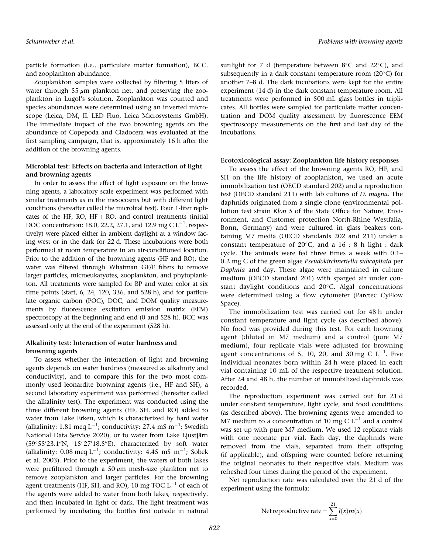Scharnweber et al. Problems with browning agents

particle formation (i.e., particulate matter formation), BCC, and zooplankton abundance.

Zooplankton samples were collected by filtering 5 liters of water through 55  $\mu$ m plankton net, and preserving the zooplankton in Lugol's solution. Zooplankton was counted and species abundances were determined using an inverted microscope (Leica, DM, IL LED Fluo, Leica Microsystems GmbH). The immediate impact of the two browning agents on the abundance of Copepoda and Cladocera was evaluated at the first sampling campaign, that is, approximately 16 h after the addition of the browning agents.

# Microbial test: Effects on bacteria and interaction of light and browning agents

In order to assess the effect of light exposure on the browning agents, a laboratory scale experiment was performed with similar treatments as in the mesocosms but with different light conditions (hereafter called the microbial test). Four 1-liter replicates of the HF, RO, HF + RO, and control treatments (initial DOC concentration: 18.0, 22.2, 27.1, and 12.9 mg C  $L^{-1}$ , respectively) were placed either in ambient daylight at a window facing west or in the dark for 22 d. These incubations were both performed at room temperature in an air-conditioned location. Prior to the addition of the browning agents (HF and RO), the water was filtered through Whatman GF/F filters to remove larger particles, microeukaryotes, zooplankton, and phytoplankton. All treatments were sampled for BP and water color at six time points (start, 6, 24, 120, 336, and 528 h), and for particulate organic carbon (POC), DOC, and DOM quality measurements by fluorescence excitation emission matrix (EEM) spectroscopy at the beginning and end (0 and 528 h). BCC was assessed only at the end of the experiment (528 h).

# Alkalinity test: Interaction of water hardness and browning agents

To assess whether the interaction of light and browning agents depends on water hardness (measured as alkalinity and conductivity), and to compare this for the two most commonly used leonardite browning agents (i.e., HF and SH), a second laboratory experiment was performed (hereafter called the alkalinity test). The experiment was conducted using the three different browning agents (HF, SH, and RO) added to water from Lake Erken, which is characterized by hard water (alkalinity: 1.81 meq  $L^{-1}$ ; conductivity: 27.4 mS m<sup>-1</sup>; Swedish National Data Service 2020), or to water from Lake Ljustjärn  $(59°55'23.1"N, 15°27'18.5"E)$ , characterized by soft water (alkalinity: 0.08 meq  $L^{-1}$ ; conductivity: 4.45 mS m<sup>-1</sup>; Sobek et al. 2003). Prior to the experiment, the waters of both lakes were prefiltered through a 50  $\mu$ m mesh-size plankton net to remove zooplankton and larger particles. For the browning agent treatments (HF, SH, and RO), 10 mg TOC  $L^{-1}$  of each of the agents were added to water from both lakes, respectively, and then incubated in light or dark. The light treatment was performed by incubating the bottles first outside in natural sunlight for 7 d (temperature between  $8^{\circ}$ C and  $22^{\circ}$ C), and subsequently in a dark constant temperature room  $(20^{\circ}C)$  for another 7–8 d. The dark incubations were kept for the entire experiment (14 d) in the dark constant temperature room. All treatments were performed in 500 mL glass bottles in triplicates. All bottles were sampled for particulate matter concentration and DOM quality assessment by fluorescence EEM spectroscopy measurements on the first and last day of the incubations.

## Ecotoxicological assay: Zooplankton life history responses

To assess the effect of the browning agents RO, HF, and SH on the life history of zooplankton, we used an acute immobilization test (OECD standard 202) and a reproduction test (OECD standard 211) with lab cultures of D. magna. The daphnids originated from a single clone (environmental pollution test strain Klon 5 of the State Office for Nature, Environment, and Customer protection North-Rhine Westfalia, Bonn, Germany) and were cultured in glass beakers containing M7 media (OECD standards 202 and 211) under a constant temperature of  $20^{\circ}$ C, and a 16 : 8 h light : dark cycle. The animals were fed three times a week with 0.1– 0.2 mg C of the green algae Pseudokirchneriella subcapitata per Daphnia and day. These algae were maintained in culture medium (OECD standard 201) with sparged air under constant daylight conditions and  $20^{\circ}$ C. Algal concentrations were determined using a flow cytometer (Parctec CyFlow Space).

The immobilization test was carried out for 48 h under constant temperature and light cycle (as described above). No food was provided during this test. For each browning agent (diluted in M7 medium) and a control (pure M7 medium), four replicate vials were adjusted for browning agent concentrations of 5, 10, 20, and 30 mg C  $L^{-1}$ . Five individual neonates born within 24 h were placed in each vial containing 10 mL of the respective treatment solution. After 24 and 48 h, the number of immobilized daphnids was recorded.

The reproduction experiment was carried out for 21 d under constant temperature, light cycle, and food conditions (as described above). The browning agents were amended to M7 medium to a concentration of 10 mg C  $L^{-1}$  and a control was set up with pure M7 medium. We used 12 replicate vials with one neonate per vial. Each day, the daphnids were removed from the vials, separated from their offspring (if applicable), and offspring were counted before returning the original neonates to their respective vials. Medium was refreshed four times during the period of the experiment.

Net reproduction rate was calculated over the 21 d of the experiment using the formula:

Net reproductive rate = 
$$
\sum_{x=0}^{21} l(x)m(x)
$$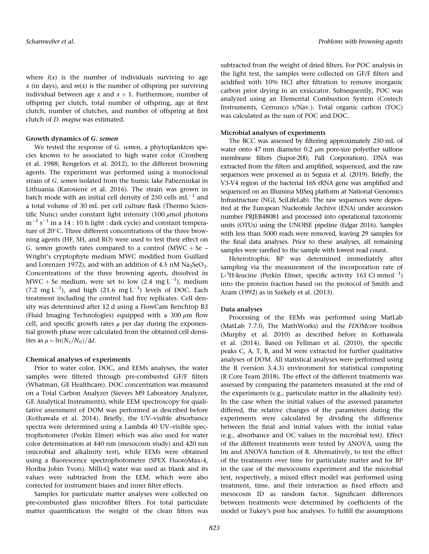where  $l(x)$  is the number of individuals surviving to age x (in days), and  $m(x)$  is the number of offspring per surviving individual between age x and  $x + 1$ . Furthermore, number of offspring per clutch, total number of offspring, age at first clutch, number of clutches, and number of offspring at first clutch of *D. magna* was estimated.

## Growth dynamics of G. semen

We tested the response of G. semen, a phytoplankton species known to be associated to high water color (Cronberg et al. 1988; Rengefors et al. 2012), to the different browning agents. The experiment was performed using a monoclonal strain of G. semen isolated from the humic lake Pabezninkai in Lithuania (Karosienė et al. 2016). The strain was grown in batch mode with an initial cell density of 250 cells  $mL^{-1}$  and a total volume of 30 mL per cell culture flask (Thermo Scientific Nunc) under constant light intensity  $(100 \mu \text{mol photons})$  $\mathrm{m}^{-2}\,\mathrm{s}^{-1}$  in a 14 : 10 h light : dark cycle) and constant temperature of 20°C. Three different concentrations of the three browning agents (HF, SH, and RO) were used to test their effect on G. semen growth rates compared to a control (MWC + Se – Wright's cryptophyte medium MWC modified from Guillard and Lorenzen 1972), and with an addition of 4.5 nM  $Na<sub>2</sub>SeO<sub>3</sub>$ . Concentrations of the three browning agents, dissolved in  $\text{MWC} + \text{Se medium}$ , were set to low (2.4 mg L<sup>-1</sup>), medium (7.2 mg L<sup>-1</sup>), and high (21.6 mg L<sup>-1</sup>) levels of DOC. Each treatment including the control had five replicates. Cell density was determined after 12 d using a FlowCam Benchtop B3 (Fluid Imaging Technologies) equipped with a 300  $\mu$ m flow cell, and specific growth rates  $\mu$  per day during the exponential growth phase were calculated from the obtained cell densities as  $\mu = \ln(N_t/N_0)/\Delta t$ .

## Chemical analyses of experiments

Prior to water color, DOC, and EEMs analyses, the water samples were filtered through pre-combusted GF/F filters (Whatman, GE Healthcare). DOC concentration was measured on a Total Carbon Analyzer (Sievers M9 Laboratory Analyzer, GE Analytical Instruments), while EEM spectroscopy for qualitative assessment of DOM was performed as described before (Kothawala et al. 2014). Briefly, the UV–visible absorbance spectra were determined using a Lambda 40 UV–visible spectrophotometer (Perkin Elmer) which was also used for water color determination at 440 nm (mesocosm study) and 420 nm (microbial and alkalinity test), while EEMs were obtained using a fluorescence spectrophotometer (SPEX FluoroMax-4, Horiba Jobin Yvon). Milli-Q water was used as blank and its values were subtracted from the EEM, which were also corrected for instrument biases and inner filter effects.

Samples for particulate matter analyses were collected on pre-combusted glass microfiber filters. For total particulate matter quantification the weight of the clean filters was subtracted from the weight of dried filters. For POC analysis in the light test, the samples were collected on GF/F filters and acidified with 10% HCl after filtration to remove inorganic carbon prior drying in an exsiccator. Subsequently, POC was analyzed using an Elemental Combustion System (Costech Instruments, Cernusco s/Nav.). Total organic carbon (TOC) was calculated as the sum of POC and DOC.

## Microbial analyses of experiments

The BCC was assessed by filtering approximately 250 mL of water onto 47 mm diameter 0.2  $\mu$ m pore-size polyether sulfone membrane filters (Supor-200, Pall Corporation). DNA was extracted from the filters and amplified, sequenced, and the raw sequences were processed as in Segura et al. (2019). Briefly, the V3-V4 region of the bacterial 16S rRNA gene was amplified and sequenced on an Illumina MiSeq platform at National Genomics Infrastructure (NGI, SciLifeLab). The raw sequences were deposited at the European Nucleotide Archive (ENA) under accession number PRJEB48081 and processed into operational taxonomic units (OTUs) using the UNOISE pipeline (Edgar 2016). Samples with less than 5000 reads were removed, leaving 29 samples for the final data analyses. Prior to these analyses, all remaining samples were rarefied to the sample with lowest read count.

Heterotrophic BP was determined immediately after sampling via the measurement of the incorporation rate of L- ${}^{3}$ H-leucine (Perkin Elmer, specific activity 161 Ci $\,$ mmol $^{-1}$ ) into the protein fraction based on the protocol of Smith and Azam (1992) as in Székely et al. (2013).

#### Data analyses

Processing of the EEMs was performed using MatLab (MatLab 7.7.0, The MathWorks) and the FDOMcorr toolbox (Murphy et al. 2010) as described before in Kothawala et al. (2014). Based on Fellman et al. (2010), the specific peaks C, A, T, B, and M were extracted for further qualitative analyses of DOM. All statistical analyses were performed using the R (version 3.4.3) environment for statistical computing (R Core Team 2018). The effect of the different treatments was assessed by comparing the parameters measured at the end of the experiments (e.g., particulate matter in the alkalinity test). In the case when the initial values of the assessed parameter differed, the relative changes of the parameters during the experiments were calculated by dividing the difference between the final and initial values with the initial value (e.g., absorbance and OC values in the microbial test). Effect of the different treatments were tested by ANOVA, using the lm and ANOVA function of R. Alternatively, to test the effect of the treatments over time for particulate matter and for BP in the case of the mesocosms experiment and the microbial test, respectively, a mixed effect model was performed using treatment, time, and their interaction as fixed effects and mesocosm ID as random factor. Significant differences between treatments were determined by coefficients of the model or Tukey's post hoc analyses. To fulfill the assumptions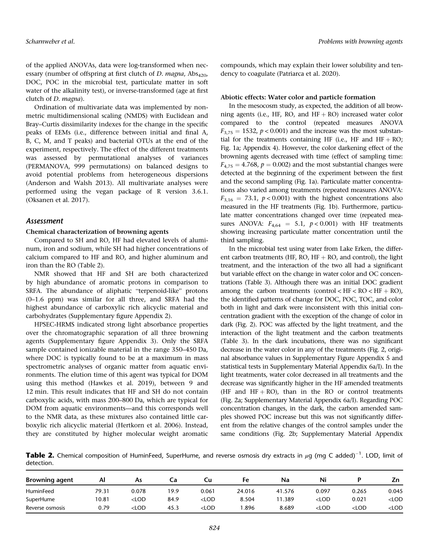of the applied ANOVAs, data were log-transformed when necessary (number of offspring at first clutch of D. magna,  $Abs<sub>420</sub>$ , DOC, POC in the microbial test, particulate matter in soft water of the alkalinity test), or inverse-transformed (age at first clutch of D. magna).

Ordination of multivariate data was implemented by nonmetric multidimensional scaling (NMDS) with Euclidean and Bray–Curtis dissimilarity indexes for the change in the specific peaks of EEMs (i.e., difference between initial and final A, B, C, M, and T peaks) and bacterial OTUs at the end of the experiment, respectively. The effect of the different treatments was assessed by permutational analyses of variances (PERMANOVA, 999 permutations) on balanced designs to avoid potential problems from heterogeneous dispersions (Anderson and Walsh 2013). All multivariate analyses were performed using the vegan package of R version 3.6.1. (Oksanen et al. 2017).

## Assessment

## Chemical characterization of browning agents

Compared to SH and RO, HF had elevated levels of aluminum, iron and sodium, while SH had higher concentrations of calcium compared to HF and RO, and higher aluminum and iron than the RO (Table 2).

NMR showed that HF and SH are both characterized by high abundance of aromatic protons in comparison to SRFA. The abundance of aliphatic "terpenoid-like" protons (0–1.6 ppm) was similar for all three, and SRFA had the highest abundance of carboxylic rich alicyclic material and carbohydrates (Supplementary figure Appendix 2).

HPSEC-HRMS indicated strong light absorbance properties over the chromatographic separation of all three browning agents (Supplementary figure Appendix 3). Only the SRFA sample contained ionizable material in the range 350–450 Da, where DOC is typically found to be at a maximum in mass spectrometric analyses of organic matter from aquatic environments. The elution time of this agent was typical for DOM using this method (Hawkes et al. 2019), between 9 and 12 min. This result indicates that HF and SH do not contain carboxylic acids, with mass 200–800 Da, which are typical for DOM from aquatic environments—and this corresponds well to the NMR data, as these mixtures also contained little carboxylic rich alicyclic material (Hertkorn et al. 2006). Instead, they are constituted by higher molecular weight aromatic

compounds, which may explain their lower solubility and tendency to coagulate (Patriarca et al. 2020).

#### Abiotic effects: Water color and particle formation

In the mesocosm study, as expected, the addition of all browning agents (i.e., HF, RO, and  $HF + RO$ ) increased water color compared to the control (repeated measures ANOVA  $F_{3,75} = 1532$ ,  $p < 0.001$ ) and the increase was the most substantial for the treatments containing HF (i.e., HF and HF + RO; Fig. 1a; Appendix 4). However, the color darkening effect of the browning agents decreased with time (effect of sampling time:  $F_{4,75} = 4.768$ ,  $p = 0.002$ ) and the most substantial changes were detected at the beginning of the experiment between the first and the second sampling (Fig. 1a). Particulate matter concentrations also varied among treatments (repeated measures ANOVA:  $F_{3,16} = 73.1, p < 0.001$ ) with the highest concentrations also measured in the HF treatments (Fig. 1b). Furthermore, particulate matter concentrations changed over time (repeated measures ANOVA:  $F_{4,64} = 5.1$ ,  $p < 0.001$ ) with HF treatments showing increasing particulate matter concentration until the third sampling.

In the microbial test using water from Lake Erken, the different carbon treatments (HF, RO, HF  $+$  RO, and control), the light treatment, and the interaction of the two all had a significant but variable effect on the change in water color and OC concentrations (Table 3). Although there was an initial DOC gradient among the carbon treatments (control  $\langle HF < RO < HF + RO \rangle$ , the identified patterns of change for DOC, POC, TOC, and color both in light and dark were inconsistent with this initial concentration gradient with the exception of the change of color in dark (Fig. 2). POC was affected by the light treatment, and the interaction of the light treatment and the carbon treatments (Table 3). In the dark incubations, there was no significant decrease in the water color in any of the treatments (Fig. 2, original absorbance values in Supplementary Figure Appendix 5 and statistical tests in Supplementary Material Appendix 6a/I). In the light treatments, water color decreased in all treatments and the decrease was significantly higher in the HF amended treatments (HF and  $HF + RO$ ), than in the RO or control treatments (Fig. 2a; Supplementary Material Appendix 6a/I). Regarding POC concentration changes, in the dark, the carbon amended samples showed POC increase but this was not significantly different from the relative changes of the control samples under the same conditions (Fig. 2b; Supplementary Material Appendix

**Table 2.** Chemical composition of HuminFeed, SuperHume, and reverse osmosis dry extracts in  $\mu$ g (mg C added) $^{-1}$ . LOD, limit of detection.

| <b>Browning agent</b> | Al    | As                                                                                                                                                                           |      | Cu                                                                                                                                  | Fe     | Na     | Ni                                                                           |         |                     |
|-----------------------|-------|------------------------------------------------------------------------------------------------------------------------------------------------------------------------------|------|-------------------------------------------------------------------------------------------------------------------------------------|--------|--------|------------------------------------------------------------------------------|---------|---------------------|
| HuminFeed             | 79.31 | 0.078                                                                                                                                                                        | 19.9 | 0.061                                                                                                                               | 24.016 | 41.576 | 0.097                                                                        | 0.265   | 0.045               |
| SuperHume             | 10.81 | <lod< td=""><td>84.9</td><td><lod< td=""><td>8.504</td><td>.389</td><td><lod< td=""><td>0.021</td><td><math>&lt;</math>LOD</td></lod<></td></lod<></td></lod<>               | 84.9 | <lod< td=""><td>8.504</td><td>.389</td><td><lod< td=""><td>0.021</td><td><math>&lt;</math>LOD</td></lod<></td></lod<>               | 8.504  | .389   | <lod< td=""><td>0.021</td><td><math>&lt;</math>LOD</td></lod<>               | 0.021   | $<$ LOD             |
| Reverse osmosis       | 0.79  | <lod< td=""><td>45.3</td><td><lod< td=""><td>.896</td><td>8.689</td><td><lod< td=""><td><math>&lt;</math>LOD</td><td><lod< td=""></lod<></td></lod<></td></lod<></td></lod<> | 45.3 | <lod< td=""><td>.896</td><td>8.689</td><td><lod< td=""><td><math>&lt;</math>LOD</td><td><lod< td=""></lod<></td></lod<></td></lod<> | .896   | 8.689  | <lod< td=""><td><math>&lt;</math>LOD</td><td><lod< td=""></lod<></td></lod<> | $<$ LOD | <lod< td=""></lod<> |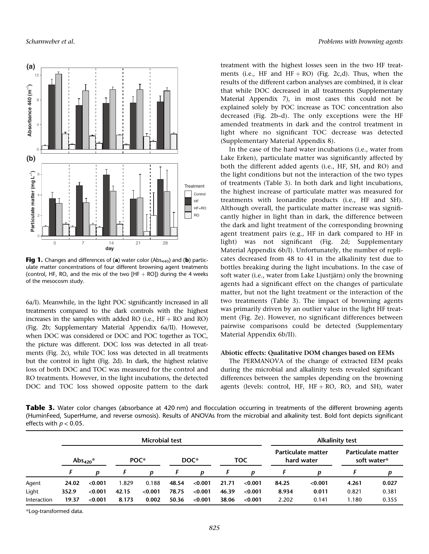

Fig 1. Changes and differences of (a) water color (Abs<sub>440</sub>) and (b) particulate matter concentrations of four different browning agent treatments (control, HF, RO, and the mix of the two  $[HF + RO]$ ) during the 4 weeks of the mesocosm study.

6a/I). Meanwhile, in the light POC significantly increased in all treatments compared to the dark controls with the highest increases in the samples with added RO (i.e.,  $HF + RO$  and RO) (Fig. 2b; Supplementary Material Appendix 6a/II). However, when DOC was considered or DOC and POC together as TOC, the picture was different. DOC loss was detected in all treatments (Fig. 2c), while TOC loss was detected in all treatments but the control in light (Fig. 2d). In dark, the highest relative loss of both DOC and TOC was measured for the control and RO treatments. However, in the light incubations, the detected DOC and TOC loss showed opposite pattern to the dark

treatment with the highest losses seen in the two HF treatments (i.e., HF and  $HF + RO$ ) (Fig. 2c,d). Thus, when the results of the different carbon analyses are combined, it is clear that while DOC decreased in all treatments (Supplementary Material Appendix 7), in most cases this could not be explained solely by POC increase as TOC concentration also decreased (Fig. 2b–d). The only exceptions were the HF amended treatments in dark and the control treatment in light where no significant TOC decrease was detected (Supplementary Material Appendix 8).

In the case of the hard water incubations (i.e., water from Lake Erken), particulate matter was significantly affected by both the different added agents (i.e., HF, SH, and RO) and the light conditions but not the interaction of the two types of treatments (Table 3). In both dark and light incubations, the highest increase of particulate matter was measured for treatments with leonardite products (i.e., HF and SH). Although overall, the particulate matter increase was significantly higher in light than in dark, the difference between the dark and light treatment of the corresponding browning agent treatment pairs (e.g., HF in dark compared to HF in light) was not significant (Fig. 2d; Supplementary Material Appendix 6b/I). Unfortunately, the number of replicates decreased from 48 to 41 in the alkalinity test due to bottles breaking during the light incubations. In the case of soft water (i.e., water from Lake Ljustjärn) only the browning agents had a significant effect on the changes of particulate matter, but not the light treatment or the interaction of the two treatments (Table 3). The impact of browning agents was primarily driven by an outlier value in the light HF treatment (Fig. 2e). However, no significant differences between pairwise comparisons could be detected (Supplementary Material Appendix 6b/II).

## Abiotic effects: Qualitative DOM changes based on EEMs

The PERMANOVA of the change of extracted EEM peaks during the microbial and alkalinity tests revealed significant differences between the samples depending on the browning agents (levels: control, HF, HF + RO, RO, and SH), water

Table 3. Water color changes (absorbance at 420 nm) and flocculation occurring in treatments of the different browning agents (HuminFeed, SuperHume, and reverse osmosis). Results of ANOVAs from the microbial and alkalinity test. Bold font depicts significant effects with  $p < 0.05$ .

|             |                      | <b>Microbial test</b> |                  |         |       |         |       |         | <b>Alkalinity test</b>           |         |                                          |       |
|-------------|----------------------|-----------------------|------------------|---------|-------|---------|-------|---------|----------------------------------|---------|------------------------------------------|-------|
|             | Abs <sub>420</sub> * |                       | POC <sup>*</sup> |         | DOC*  |         | TOC   |         | Particulate matter<br>hard water |         | <b>Particulate matter</b><br>soft water* |       |
|             |                      | D                     |                  | D       |       | D       |       | Ŋ       |                                  |         |                                          | D     |
| Agent       | 24.02                | < 0.001               | 1.829            | 0.188   | 48.54 | < 0.001 | 21.71 | < 0.001 | 84.25                            | < 0.001 | 4.261                                    | 0.027 |
| Light       | 352.9                | < 0.001               | 42.15            | < 0.001 | 78.75 | < 0.001 | 46.39 | < 0.001 | 8.934                            | 0.011   | 0.821                                    | 0.381 |
| Interaction | 19.37                | < 0.001               | 8.173            | 0.002   | 50.36 | < 0.001 | 38.06 | < 0.001 | 2.202                            | 0.141   | 1.180                                    | 0.355 |

\*Log-transformed data.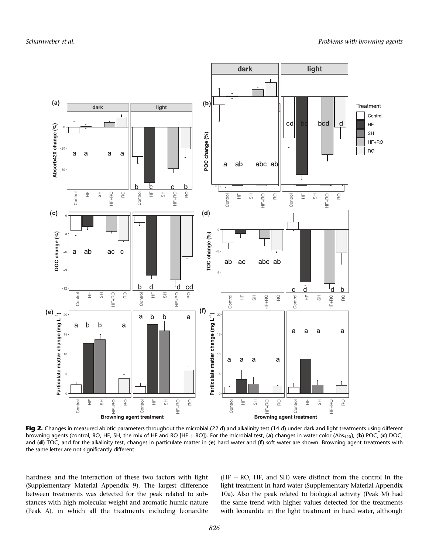

Fig 2. Changes in measured abiotic parameters throughout the microbial (22 d) and alkalinity test (14 d) under dark and light treatments using different browning agents (control, RO, HF, SH, the mix of HF and RO [HF + RO]). For the microbial test, (a) changes in water color (Abs<sub>420</sub>), (b) POC, (c) DOC, and (d) TOC; and for the alkalinity test, changes in particulate matter in (e) hard water and (f) soft water are shown. Browning agent treatments with the same letter are not significantly different.

hardness and the interaction of these two factors with light (Supplementary Material Appendix 9). The largest difference between treatments was detected for the peak related to substances with high molecular weight and aromatic humic nature (Peak A), in which all the treatments including leonardite  $(HF + RO, HF, and SH)$  were distinct from the control in the light treatment in hard water (Supplementary Material Appendix 10a). Also the peak related to biological activity (Peak M) had the same trend with higher values detected for the treatments with leonardite in the light treatment in hard water, although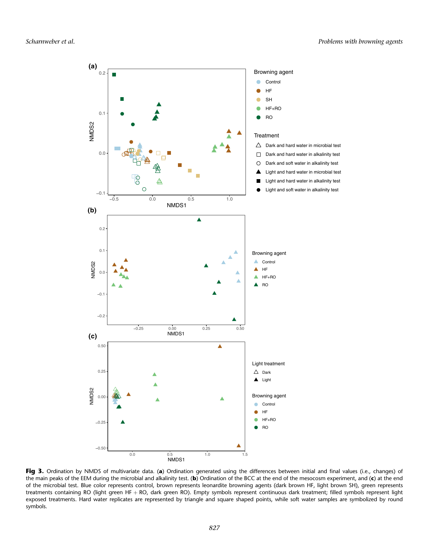

Fig 3. Ordination by NMDS of multivariate data. (a) Ordination generated using the differences between initial and final values (i.e., changes) of the main peaks of the EEM during the microbial and alkalinity test. (b) Ordination of the BCC at the end of the mesocosm experiment, and (c) at the end of the microbial test. Blue color represents control, brown represents leonardite browning agents (dark brown HF, light brown SH), green represents treatments containing RO (light green HF + RO, dark green RO). Empty symbols represent continuous dark treatment; filled symbols represent light exposed treatments. Hard water replicates are represented by triangle and square shaped points, while soft water samples are symbolized by round symbols.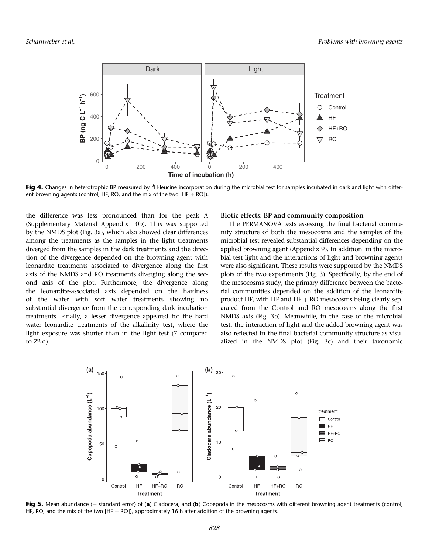

Fig 4. Changes in heterotrophic BP measured by <sup>3</sup>H-leucine incorporation during the microbial test for samples incubated in dark and light with different browning agents (control, HF, RO, and the mix of the two  $[HF + RO]$ ).

the difference was less pronounced than for the peak A (Supplementary Material Appendix 10b). This was supported by the NMDS plot (Fig. 3a), which also showed clear differences among the treatments as the samples in the light treatments diverged from the samples in the dark treatments and the direction of the divergence depended on the browning agent with leonardite treatments associated to divergence along the first axis of the NMDS and RO treatments diverging along the second axis of the plot. Furthermore, the divergence along the leonardite-associated axis depended on the hardness of the water with soft water treatments showing no substantial divergence from the corresponding dark incubation treatments. Finally, a lesser divergence appeared for the hard water leonardite treatments of the alkalinity test, where the light exposure was shorter than in the light test (7 compared to 22 d).

#### Biotic effects: BP and community composition

The PERMANOVA tests assessing the final bacterial community structure of both the mesocosms and the samples of the microbial test revealed substantial differences depending on the applied browning agent (Appendix 9). In addition, in the microbial test light and the interactions of light and browning agents were also significant. These results were supported by the NMDS plots of the two experiments (Fig. 3). Specifically, by the end of the mesocosms study, the primary difference between the bacterial communities depended on the addition of the leonardite product HF, with HF and  $HF + RO$  mesocosms being clearly separated from the Control and RO mesocosms along the first NMDS axis (Fig. 3b). Meanwhile, in the case of the microbial test, the interaction of light and the added browning agent was also reflected in the final bacterial community structure as visualized in the NMDS plot (Fig. 3c) and their taxonomic



Fig 5. Mean abundance ( $\pm$  standard error) of (a) Cladocera, and (b) Copepoda in the mesocosms with different browning agent treatments (control, HF, RO, and the mix of the two [HF  $+$  RO]), approximately 16 h after addition of the browning agents.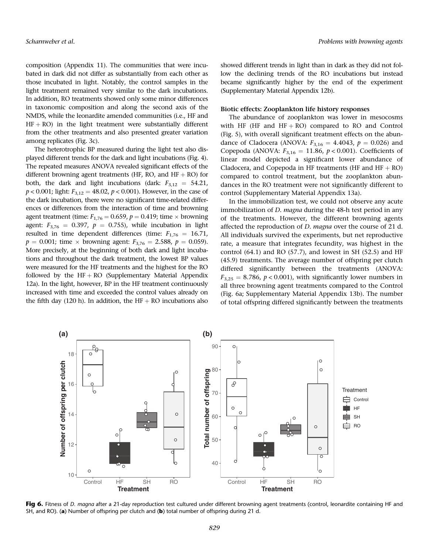composition (Appendix 11). The communities that were incubated in dark did not differ as substantially from each other as those incubated in light. Notably, the control samples in the light treatment remained very similar to the dark incubations. In addition, RO treatments showed only some minor differences in taxonomic composition and along the second axis of the NMDS, while the leonardite amended communities (i.e., HF and  $HF + RO$ ) in the light treatment were substantially different from the other treatments and also presented greater variation among replicates (Fig. 3c).

The heterotrophic BP measured during the light test also displayed different trends for the dark and light incubations (Fig. 4). The repeated measures ANOVA revealed significant effects of the different browning agent treatments (HF, RO, and  $HF + RO$ ) for both, the dark and light incubations (dark:  $F_{3,12} = 54.21$ ,  $p < 0.001$ ; light:  $F_{3,12} = 48.02$ ,  $p < 0.001$ ). However, in the case of the dark incubation, there were no significant time-related differences or differences from the interaction of time and browning agent treatment (time:  $F_{1,76} = 0.659$ ,  $p = 0.419$ ; time  $\times$  browning agent:  $F_{3,76} = 0.397$ ,  $p = 0.755$ ), while incubation in light resulted in time dependent differences (time:  $F_{1,76} = 16.71$ ,  $p = 0.001$ ; time  $\times$  browning agent:  $F_{3,76} = 2.588$ ,  $p = 0.059$ ). More precisely, at the beginning of both dark and light incubations and throughout the dark treatment, the lowest BP values were measured for the HF treatments and the highest for the RO followed by the  $HF + RO$  (Supplementary Material Appendix 12a). In the light, however, BP in the HF treatment continuously increased with time and exceeded the control values already on the fifth day (120 h). In addition, the  $HF + RO$  incubations also

showed different trends in light than in dark as they did not follow the declining trends of the RO incubations but instead became significantly higher by the end of the experiment (Supplementary Material Appendix 12b).

## Biotic effects: Zooplankton life history responses

The abundance of zooplankton was lower in mesocosms with HF (HF and  $HF + RO$ ) compared to RO and Control (Fig. 5), with overall significant treatment effects on the abundance of Cladocera (ANOVA:  $F_{3,16} = 4.4043$ ,  $p = 0.026$ ) and Copepoda (ANOVA:  $F_{3,16} = 11.86$ ,  $p < 0.001$ ). Coefficients of linear model depicted a significant lower abundance of Cladocera, and Copepoda in HF treatments (HF and  $HF + RO$ ) compared to control treatment, but the zooplankton abundances in the RO treatment were not significantly different to control (Supplementary Material Appendix 13a).

In the immobilization test, we could not observe any acute immobilization of *D. magna* during the 48-h test period in any of the treatments. However, the different browning agents affected the reproduction of D. magna over the course of 21 d. All individuals survived the experiments, but net reproductive rate, a measure that integrates fecundity, was highest in the control  $(64.1)$  and RO  $(57.7)$ , and lowest in SH  $(52.5)$  and HF (45.9) treatments. The average number of offspring per clutch differed significantly between the treatments (ANOVA:  $F_{3,25} = 8.786$ ,  $p < 0.001$ ), with significantly lower numbers in all three browning agent treatments compared to the Control (Fig. 6a; Supplementary Material Appendix 13b). The number of total offspring differed significantly between the treatments



Fig 6. Fitness of D. magna after a 21-day reproduction test cultured under different browning agent treatments (control, leonardite containing HF and SH, and RO). (a) Number of offspring per clutch and (b) total number of offspring during 21 d.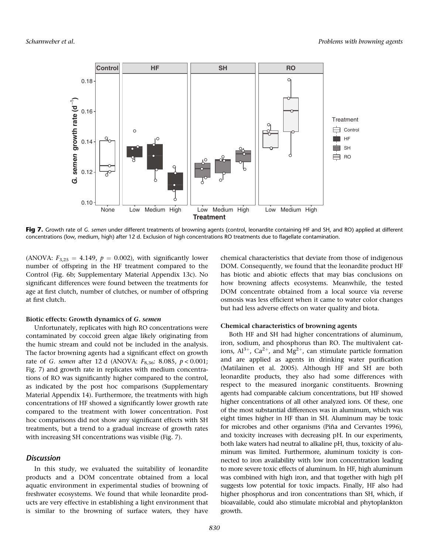

Fig 7. Growth rate of G. semen under different treatments of browning agents (control, leonardite containing HF and SH, and RO) applied at different concentrations (low, medium, high) after 12 d. Exclusion of high concentrations RO treatments due to flagellate contamination.

(ANOVA:  $F_{3,25} = 4.149$ ,  $p = 0.002$ ), with significantly lower number of offspring in the HF treatment compared to the Control (Fig. 6b; Supplementary Material Appendix 13c). No significant differences were found between the treatments for age at first clutch, number of clutches, or number of offspring at first clutch.

#### Biotic effects: Growth dynamics of G. semen

Unfortunately, replicates with high RO concentrations were contaminated by coccoid green algae likely originating from the humic stream and could not be included in the analysis. The factor browning agents had a significant effect on growth rate of *G. semen* after 12 d (ANOVA:  $F_{8,36}$ : 8.085,  $p < 0.001$ ; Fig. 7) and growth rate in replicates with medium concentrations of RO was significantly higher compared to the control, as indicated by the post hoc comparisons (Supplementary Material Appendix 14). Furthermore, the treatments with high concentrations of HF showed a significantly lower growth rate compared to the treatment with lower concentration. Post hoc comparisons did not show any significant effects with SH treatments, but a trend to a gradual increase of growth rates with increasing SH concentrations was visible (Fig. 7).

# **Discussion**

In this study, we evaluated the suitability of leonardite products and a DOM concentrate obtained from a local aquatic environment in experimental studies of browning of freshwater ecosystems. We found that while leonardite products are very effective in establishing a light environment that is similar to the browning of surface waters, they have

chemical characteristics that deviate from those of indigenous DOM. Consequently, we found that the leonardite product HF has biotic and abiotic effects that may bias conclusions on how browning affects ecosystems. Meanwhile, the tested DOM concentrate obtained from a local source via reverse osmosis was less efficient when it came to water color changes but had less adverse effects on water quality and biota.

#### Chemical characteristics of browning agents

Both HF and SH had higher concentrations of aluminum, iron, sodium, and phosphorus than RO. The multivalent cations,  $Al^{3+}$ ,  $Ca^{2+}$ , and  $Mg^{2+}$ , can stimulate particle formation and are applied as agents in drinking water purification (Matilainen et al. 2005). Although HF and SH are both leonardite products, they also had some differences with respect to the measured inorganic constituents. Browning agents had comparable calcium concentrations, but HF showed higher concentrations of all other analyzed ions. Of these, one of the most substantial differences was in aluminum, which was eight times higher in HF than in SH. Aluminum may be toxic for microbes and other organisms (Piña and Cervantes 1996), and toxicity increases with decreasing pH. In our experiments, both lake waters had neutral to alkaline pH, thus, toxicity of aluminum was limited. Furthermore, aluminum toxicity is connected to iron availability with low iron concentration leading to more severe toxic effects of aluminum. In HF, high aluminum was combined with high iron, and that together with high pH suggests low potential for toxic impacts. Finally, HF also had higher phosphorus and iron concentrations than SH, which, if bioavailable, could also stimulate microbial and phytoplankton growth.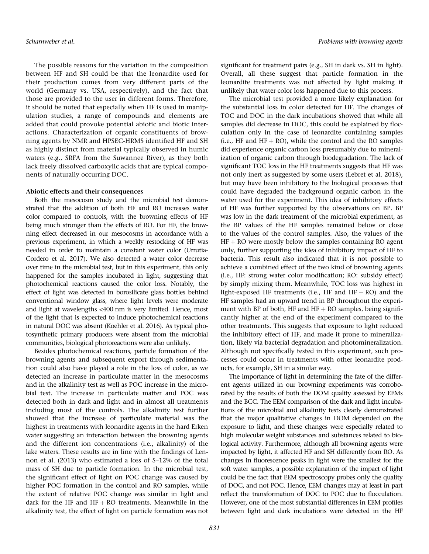The possible reasons for the variation in the composition between HF and SH could be that the leonardite used for their production comes from very different parts of the world (Germany vs. USA, respectively), and the fact that those are provided to the user in different forms. Therefore, it should be noted that especially when HF is used in manipulation studies, a range of compounds and elements are added that could provoke potential abiotic and biotic interactions. Characterization of organic constituents of browning agents by NMR and HPSEC-HRMS identified HF and SH as highly distinct from material typically observed in humic waters (e.g., SRFA from the Suwannee River), as they both lack freely dissolved carboxylic acids that are typical components of naturally occurring DOC.

## Abiotic effects and their consequences

Both the mesocosm study and the microbial test demonstrated that the addition of both HF and RO increases water color compared to controls, with the browning effects of HF being much stronger than the effects of RO. For HF, the browning effect decreased in our mesocosms in accordance with a previous experiment, in which a weekly restocking of HF was needed in order to maintain a constant water color (Urrutia-Cordero et al. 2017). We also detected a water color decrease over time in the microbial test, but in this experiment, this only happened for the samples incubated in light, suggesting that photochemical reactions caused the color loss. Notably, the effect of light was detected in borosilicate glass bottles behind conventional window glass, where light levels were moderate and light at wavelengths <400 nm is very limited. Hence, most of the light that is expected to induce photochemical reactions in natural DOC was absent (Koehler et al. 2016). As typical photosynthetic primary producers were absent from the microbial communities, biological photoreactions were also unlikely.

Besides photochemical reactions, particle formation of the browning agents and subsequent export through sedimentation could also have played a role in the loss of color, as we detected an increase in particulate matter in the mesocosms and in the alkalinity test as well as POC increase in the microbial test. The increase in particulate matter and POC was detected both in dark and light and in almost all treatments including most of the controls. The alkalinity test further showed that the increase of particulate material was the highest in treatments with leonardite agents in the hard Erken water suggesting an interaction between the browning agents and the different ion concentrations (i.e., alkalinity) of the lake waters. These results are in line with the findings of Lennon et al. (2013) who estimated a loss of 5–12% of the total mass of SH due to particle formation. In the microbial test, the significant effect of light on POC change was caused by higher POC formation in the control and RO samples, while the extent of relative POC change was similar in light and dark for the HF and  $HF + RO$  treatments. Meanwhile in the alkalinity test, the effect of light on particle formation was not significant for treatment pairs (e.g., SH in dark vs. SH in light). Overall, all these suggest that particle formation in the leonardite treatments was not affected by light making it unlikely that water color loss happened due to this process.

The microbial test provided a more likely explanation for the substantial loss in color detected for HF. The changes of TOC and DOC in the dark incubations showed that while all samples did decrease in DOC, this could be explained by flocculation only in the case of leonardite containing samples (i.e., HF and  $HF + RO$ ), while the control and the RO samples did experience organic carbon loss presumably due to mineralization of organic carbon through biodegradation. The lack of significant TOC loss in the HF treatments suggests that HF was not only inert as suggested by some users (Lebret et al. 2018), but may have been inhibitory to the biological processes that could have degraded the background organic carbon in the water used for the experiment. This idea of inhibitory effects of HF was further supported by the observations on BP. BP was low in the dark treatment of the microbial experiment, as the BP values of the HF samples remained below or close to the values of the control samples. Also, the values of the HF + RO were mostly below the samples containing RO agent only, further supporting the idea of inhibitory impact of HF to bacteria. This result also indicated that it is not possible to achieve a combined effect of the two kind of browning agents (i.e., HF: strong water color modification; RO: subsidy effect) by simply mixing them. Meanwhile, TOC loss was highest in light-exposed HF treatments (i.e., HF and  $HF + RO$ ) and the HF samples had an upward trend in BP throughout the experiment with BP of both, HF and  $HF + RO$  samples, being significantly higher at the end of the experiment compared to the other treatments. This suggests that exposure to light reduced the inhibitory effect of HF, and made it prone to mineralization, likely via bacterial degradation and photomineralization. Although not specifically tested in this experiment, such processes could occur in treatments with other leonardite products, for example, SH in a similar way.

The importance of light in determining the fate of the different agents utilized in our browning experiments was corroborated by the results of both the DOM quality assessed by EEMs and the BCC. The EEM comparison of the dark and light incubations of the microbial and alkalinity tests clearly demonstrated that the major qualitative changes in DOM depended on the exposure to light, and these changes were especially related to high molecular weight substances and substances related to biological activity. Furthermore, although all browning agents were impacted by light, it affected HF and SH differently from RO. As changes in fluorescence peaks in light were the smallest for the soft water samples, a possible explanation of the impact of light could be the fact that EEM spectroscopy probes only the quality of DOC, and not POC. Hence, EEM changes may at least in part reflect the transformation of DOC to POC due to flocculation. However, one of the most substantial differences in EEM profiles between light and dark incubations were detected in the HF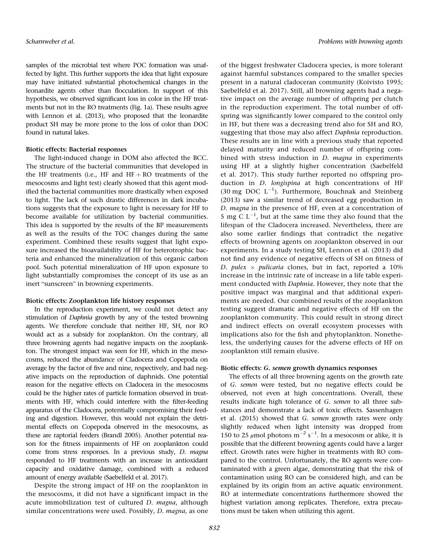samples of the microbial test where POC formation was unaffected by light. This further supports the idea that light exposure may have initiated substantial photochemical changes in the leonardite agents other than flocculation. In support of this hypothesis, we observed significant loss in color in the HF treatments but not in the RO treatments (Fig. 1a). These results agree with Lennon et al. (2013), who proposed that the leonardite product SH may be more prone to the loss of color than DOC found in natural lakes.

## Biotic effects: Bacterial responses

The light-induced change in DOM also affected the BCC. The structure of the bacterial communities that developed in the HF treatments (i.e., HF and  $HF + RO$  treatments of the mesocosms and light test) clearly showed that this agent modified the bacterial communities more drastically when exposed to light. The lack of such drastic differences in dark incubations suggests that the exposure to light is necessary for HF to become available for utilization by bacterial communities. This idea is supported by the results of the BP measurements as well as the results of the TOC changes during the same experiment. Combined these results suggest that light exposure increased the bioavailability of HF for heterotrophic bacteria and enhanced the mineralization of this organic carbon pool. Such potential mineralization of HF upon exposure to light substantially compromises the concept of its use as an inert "sunscreen" in browning experiments.

## Biotic effects: Zooplankton life history responses

In the reproduction experiment, we could not detect any stimulation of Daphnia growth by any of the tested browning agents. We therefore conclude that neither HF, SH, nor RO would act as a subsidy for zooplankton. On the contrary, all three browning agents had negative impacts on the zooplankton. The strongest impact was seen for HF, which in the mesocosms, reduced the abundance of Cladocera and Copepoda on average by the factor of five and nine, respectively, and had negative impacts on the reproduction of daphnids. One potential reason for the negative effects on Cladocera in the mesocosms could be the higher rates of particle formation observed in treatments with HF, which could interfere with the filter-feeding apparatus of the Cladocera, potentially compromising their feeding and digestion. However, this would not explain the detrimental effects on Copepoda observed in the mesocosms, as these are raptorial feeders (Brandl 2005). Another potential reason for the fitness impairments of HF on zooplankton could come from stress responses. In a previous study, D. magna responded to HF treatments with an increase in antioxidant capacity and oxidative damage, combined with a reduced amount of energy available (Saebelfeld et al. 2017).

Despite the strong impact of HF on the zooplankton in the mesocosms, it did not have a significant impact in the acute immobilization test of cultured D. magna, although similar concentrations were used. Possibly, D. magna, as one of the biggest freshwater Cladocera species, is more tolerant against harmful substances compared to the smaller species present in a natural cladoceran community (Koivisto 1995; Saebelfeld et al. 2017). Still, all browning agents had a negative impact on the average number of offspring per clutch in the reproduction experiment. The total number of offspring was significantly lower compared to the control only in HF, but there was a decreasing trend also for SH and RO, suggesting that those may also affect Daphnia reproduction. These results are in line with a previous study that reported delayed maturity and reduced number of offspring combined with stress induction in D. magna in experiments using HF at a slightly higher concentration (Saebelfeld et al. 2017). This study further reported no offspring production in D. longispina at high concentrations of HF (30 mg DOC  $L^{-1}$ ). Furthermore, Bouchnak and Steinberg (2013) saw a similar trend of decreased egg production in D. magna in the presence of HF, even at a concentration of 5 mg C  $L^{-1}$ , but at the same time they also found that the lifespan of the Cladocera increased. Nevertheless, there are also some earlier findings that contradict the negative effects of browning agents on zooplankton observed in our experiments. In a study testing SH, Lennon et al. (2013) did not find any evidence of negative effects of SH on fitness of D. pulex  $\times$  pulicaria clones, but in fact, reported a 10% increase in the intrinsic rate of increase in a life table experiment conducted with Daphnia. However, they note that the positive impact was marginal and that additional experiments are needed. Our combined results of the zooplankton testing suggest dramatic and negative effects of HF on the zooplankton community. This could result in strong direct and indirect effects on overall ecosystem processes with implications also for the fish and phytoplankton. Nonetheless, the underlying causes for the adverse effects of HF on zooplankton still remain elusive.

## Biotic effects: G. semen growth dynamics responses

The effects of all three browning agents on the growth rate of G. semen were tested, but no negative effects could be observed, not even at high concentrations. Overall, these results indicate high tolerance of G. semen to all three substances and demonstrate a lack of toxic effects. Sassenhagen et al. (2015) showed that G. semen growth rates were only slightly reduced when light intensity was dropped from 150 to 25  $\mu$ mol photons m<sup>-2</sup> s<sup>-1</sup>. In a mesocosm or alike, it is possible that the different browning agents could have a larger effect. Growth rates were higher in treatments with RO compared to the control. Unfortunately, the RO agents were contaminated with a green algae, demonstrating that the risk of contamination using RO can be considered high, and can be explained by its origin from an active aquatic environment. RO at intermediate concentrations furthermore showed the highest variation among replicates. Therefore, extra precautions must be taken when utilizing this agent.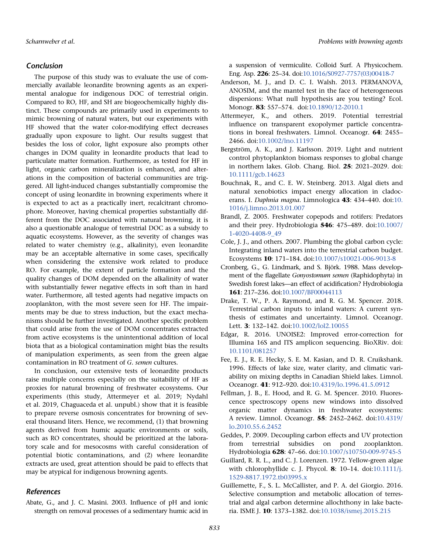# Conclusion

The purpose of this study was to evaluate the use of commercially available leonardite browning agents as an experimental analogue for indigenous DOC of terrestrial origin. Compared to RO, HF, and SH are biogeochemically highly distinct. These compounds are primarily used in experiments to mimic browning of natural waters, but our experiments with HF showed that the water color-modifying effect decreases gradually upon exposure to light. Our results suggest that besides the loss of color, light exposure also prompts other changes in DOM quality in leonardite products that lead to particulate matter formation. Furthermore, as tested for HF in light, organic carbon mineralization is enhanced, and alterations in the composition of bacterial communities are triggered. All light-induced changes substantially compromise the concept of using leonardite in browning experiments where it is expected to act as a practically inert, recalcitrant chromophore. Moreover, having chemical properties substantially different from the DOC associated with natural browning, it is also a questionable analogue of terrestrial DOC as a subsidy to aquatic ecosystems. However, as the severity of changes was related to water chemistry (e.g., alkalinity), even leonardite may be an acceptable alternative in some cases, specifically when considering the extensive work related to produce RO. For example, the extent of particle formation and the quality changes of DOM depended on the alkalinity of water with substantially fewer negative effects in soft than in hard water. Furthermore, all tested agents had negative impacts on zooplankton, with the most severe seen for HF. The impairments may be due to stress induction, but the exact mechanisms should be further investigated. Another specific problem that could arise from the use of DOM concentrates extracted from active ecosystems is the unintentional addition of local biota that as a biological contamination might bias the results of manipulation experiments, as seen from the green algae contamination in RO treatment of G. semen cultures.

In conclusion, our extensive tests of leonardite products raise multiple concerns especially on the suitability of HF as proxies for natural browning of freshwater ecosystems. Our experiments (this study, Attermeyer et al. 2019; Nydahl et al. 2019, Chaguaceda et al. unpubl.) show that it is feasible to prepare reverse osmosis concentrates for browning of several thousand liters. Hence, we recommend, (1) that browning agents derived from humic aquatic environments or soils, such as RO concentrates, should be prioritized at the laboratory scale and for mesocosms with careful consideration of potential biotic contaminations, and (2) where leonardite extracts are used, great attention should be paid to effects that may be atypical for indigenous browning agents.

# References

Abate, G., and J. C. Masini. 2003. Influence of pH and ionic strength on removal processes of a sedimentary humic acid in a suspension of vermiculite. Colloid Surf. A Physicochem. Eng. Asp. 226: 25–34. doi:[10.1016/S0927-7757\(03\)00418-7](https://doi.org/10.1016/S0927-7757(03)00418-7)

- Anderson, M. J., and D. C. I. Walsh. 2013. PERMANOVA, ANOSIM, and the mantel test in the face of heterogeneous dispersions: What null hypothesis are you testing? Ecol. Monogr. 83: 557–574. doi:[10.1890/12-2010.1](https://doi.org/10.1890/12-2010.1)
- Attermeyer, K., and others. 2019. Potential terrestrial influence on transparent exopolymer particle concentrations in boreal freshwaters. Limnol. Oceanogr. 64: 2455– 2466. doi:[10.1002/lno.11197](https://doi.org/10.1002/lno.11197)
- Bergström, A. K., and J. Karlsson. 2019. Light and nutrient control phytoplankton biomass responses to global change in northern lakes. Glob. Chang. Biol. 25: 2021–2029. doi: [10.1111/gcb.14623](https://doi.org/10.1111/gcb.14623)
- Bouchnak, R., and C. E. W. Steinberg. 2013. Algal diets and natural xenobiotics impact energy allocation in cladoc-erans. I. Daphnia magna. Limnologica 43: 434-440. doi[:10.](https://doi.org/10.1016/j.limno.2013.01.007) [1016/j.limno.2013.01.007](https://doi.org/10.1016/j.limno.2013.01.007)
- Brandl, Z. 2005. Freshwater copepods and rotifers: Predators and their prey. Hydrobiologia 546: 475–489. doi[:10.1007/](https://doi.org/10.1007/1-4020-4408-9_49) [1-4020-4408-9\\_49](https://doi.org/10.1007/1-4020-4408-9_49)
- Cole, J. J., and others. 2007. Plumbing the global carbon cycle: Integrating inland waters into the terrestrial carbon budget. Ecosystems 10: 171–184. doi[:10.1007/s10021-006-9013-8](https://doi.org/10.1007/s10021-006-9013-8)
- Cronberg, G., G. Lindmark, and S. Björk. 1988. Mass development of the flagellate Gonyostomum semen (Raphidophyta) in Swedish forest lakes—an effect of acidification? Hydrobiologia 161: 217–236. doi[:10.1007/BF00044113](https://doi.org/10.1007/BF00044113)
- Drake, T. W., P. A. Raymond, and R. G. M. Spencer. 2018. Terrestrial carbon inputs to inland waters: A current synthesis of estimates and uncertainty. Limnol. Oceanogr. Lett. 3: 132–142. doi[:10.1002/lol2.10055](https://doi.org/10.1002/lol2.10055)
- Edgar, R. 2016. UNOISE2: Improved error-correction for Illumina 16S and ITS amplicon sequencing. BioXRiv. doi: [10.1101/081257](https://doi.org/10.1101/081257)
- Fee, E. J., R. E. Hecky, S. E. M. Kasian, and D. R. Cruikshank. 1996. Effects of lake size, water clarity, and climatic variability on mixing depths in Canadian Shield lakes. Limnol. Oceanogr. 41: 912–920. doi:[10.4319/lo.1996.41.5.0912](https://doi.org/10.4319/lo.1996.41.5.0912)
- Fellman, J. B., E. Hood, and R. G. M. Spencer. 2010. Fluorescence spectroscopy opens new windows into dissolved organic matter dynamics in freshwater ecosystems: A review. Limnol. Oceanogr. 55: 2452–2462. doi[:10.4319/](https://doi.org/10.4319/lo.2010.55.6.2452) [lo.2010.55.6.2452](https://doi.org/10.4319/lo.2010.55.6.2452)
- Geddes, P. 2009. Decoupling carbon effects and UV protection from terrestrial subsidies on pond zooplankton. Hydrobiologia 628: 47–66. doi[:10.1007/s10750-009-9745-5](https://doi.org/10.1007/s10750-009-9745-5)
- Guillard, R. R. L., and C. J. Lorenzen. 1972. Yellow-green algae with chlorophyllide c. J. Phycol. 8: 10–14. doi[:10.1111/j.](https://doi.org/10.1111/j.1529-8817.1972.tb03995.x) [1529-8817.1972.tb03995.x](https://doi.org/10.1111/j.1529-8817.1972.tb03995.x)
- Guillemette, F., S. L. McCallister, and P. A. del Giorgio. 2016. Selective consumption and metabolic allocation of terrestrial and algal carbon determine allochthony in lake bacteria. ISME J. 10: 1373–1382. doi[:10.1038/ismej.2015.215](https://doi.org/10.1038/ismej.2015.215)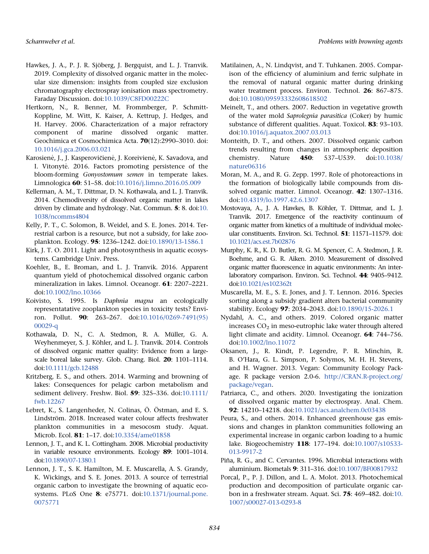- Hawkes, J. A., P. J. R. Sjöberg, J. Bergquist, and L. J. Tranvik. 2019. Complexity of dissolved organic matter in the molecular size dimension: insights from coupled size exclusion chromatography electrospray ionisation mass spectrometry. Faraday Discussion. doi:[10.1039/C8FD00222C](https://doi.org/10.1039/C8FD00222C)
- Hertkorn, N., R. Benner, M. Frommberger, P. Schmitt-Koppline, M. Witt, K. Kaiser, A. Kettrup, J. Hedges, and H. Harvey. 2006. Characterization of a major refractory component of marine dissolved organic matter. Geochimica et Cosmochimica Acta. 70(12):2990–3010. doi: [10.1016/j.gca.2006.03.021](https://doi.org/10.1016/j.gca.2006.03.021)
- Karosienė, J., J. Kasperovičienė, J. Koreivienė, K. Savadova, and I. Vitonyte. 2016. Factors promoting persistence of the \_ bloom-forming Gonyostomum semen in temperate lakes. Limnologica 60: 51–58. doi:[10.1016/j.limno.2016.05.009](https://doi.org/10.1016/j.limno.2016.05.009)
- Kellerman, A. M., T. Dittmar, D. N. Kothawala, and L. J. Tranvik. 2014. Chemodiversity of dissolved organic matter in lakes driven by climate and hydrology. Nat. Commun. 5: 8. doi:[10.](https://doi.org/10.1038/ncomms4804) [1038/ncomms4804](https://doi.org/10.1038/ncomms4804)
- Kelly, P. T., C. Solomon, B. Weidel, and S. E. Jones. 2014. Terrestrial carbon is a resource, but not a subsidy, for lake zooplankton. Ecology. 95: 1236–1242. doi:[10.1890/13-1586.1](https://doi.org/10.1890/13-1586.1)
- Kirk, J. T. O. 2011. Light and photosynthesis in aquatic ecosystems. Cambridge Univ. Press.
- Koehler, B., E. Broman, and L. J. Tranvik. 2016. Apparent quantum yield of photochemical dissolved organic carbon mineralization in lakes. Limnol. Oceanogr. 61: 2207–2221. doi:[10.1002/lno.10366](https://doi.org/10.1002/lno.10366)
- Koivisto, S. 1995. Is Daphnia magna an ecologically representatative zooplankton species in toxicity tests? Environ. Pollut. 90: 263–267. doi:[10.1016/0269-7491\(95\)](https://doi.org/10.1016/0269-7491(95)00029-q) [00029-q](https://doi.org/10.1016/0269-7491(95)00029-q)
- Kothawala, D. N., C. A. Stedmon, R. A. Müller, G. A. Weyhenmeyer, S. J. Köhler, and L. J. Tranvik. 2014. Controls of dissolved organic matter quality: Evidence from a largescale boreal lake survey. Glob. Chang. Biol. 20: 1101–1114. doi[:10.1111/gcb.12488](https://doi.org/10.1111/gcb.12488)
- Kritzberg, E. S., and others. 2014. Warming and browning of lakes: Consequences for pelagic carbon metabolism and sediment delivery. Freshw. Biol. 59: 325–336. doi[:10.1111/](https://doi.org/10.1111/fwb.12267) [fwb.12267](https://doi.org/10.1111/fwb.12267)
- Lebret, K., S. Langenheder, N. Colinas, Ö. Östman, and E. S. Lindström. 2018. Increased water colour affects freshwater plankton communities in a mesocosm study. Aquat. Microb. Ecol. 81: 1–17. doi:[10.3354/ame01858](https://doi.org/10.3354/ame01858)
- Lennon, J. T., and K. L. Cottingham. 2008. Microbial productivity in variable resource environments. Ecology 89: 1001–1014. doi[:10.1890/07-1380.1](https://doi.org/10.1890/07-1380.1)
- Lennon, J. T., S. K. Hamilton, M. E. Muscarella, A. S. Grandy, K. Wickings, and S. E. Jones. 2013. A source of terrestrial organic carbon to investigate the browning of aquatic ecosystems. PLoS One 8: e75771. doi[:10.1371/journal.pone.](https://doi.org/10.1371/journal.pone.0075771) [0075771](https://doi.org/10.1371/journal.pone.0075771)
- Matilainen, A., N. Lindqvist, and T. Tuhkanen. 2005. Comparison of the efficiency of aluminium and ferric sulphate in the removal of natural organic matter during drinking water treatment process. Environ. Technol. 26: 867–875. doi:[10.1080/09593332608618502](https://doi.org/10.1080/09593332608618502)
- Meinelt, T., and others. 2007. Reduction in vegetative growth of the water mold Saprolegnia parasitica (Coker) by humic substance of different qualities. Aquat. Toxicol. 83: 93–103. doi:[10.1016/j.aquatox.2007.03.013](https://doi.org/10.1016/j.aquatox.2007.03.013)
- Monteith, D. T., and others. 2007. Dissolved organic carbon trends resulting from changes in atmospheric deposition chemistry. Nature 450: 537–U539. doi[:10.1038/](https://doi.org/10.1038/nature06316) [nature06316](https://doi.org/10.1038/nature06316)
- Moran, M. A., and R. G. Zepp. 1997. Role of photoreactions in the formation of biologically labile compounds from dissolved organic matter. Limnol. Oceanogr. 42: 1307–1316. doi:[10.4319/lo.1997.42.6.1307](https://doi.org/10.4319/lo.1997.42.6.1307)
- Mostovaya, A., J. A. Hawkes, B. Köhler, T. Dittmar, and L. J. Tranvik. 2017. Emergence of the reactivity continuum of organic matter from kinetics of a multitude of individual molecular constituents. Environ. Sci. Technol. 51: 11571–11579. doi: [10.1021/acs.est.7b02876](https://doi.org/10.1021/acs.est.7b02876)
- Murphy, K. R., K. D. Butler, R. G. M. Spencer, C. A. Stedmon, J. R. Boehme, and G. R. Aiken. 2010. Measurement of dissolved organic matter fluorescence in aquatic environments: An interlaboratory comparison. Environ. Sci. Technol. 44: 9405–9412. doi[:10.1021/es102362t](https://doi.org/10.1021/es102362t)
- Muscarella, M. E., S. E. Jones, and J. T. Lennon. 2016. Species sorting along a subsidy gradient alters bacterial community stability. Ecology 97: 2034–2043. doi[:10.1890/15-2026.1](https://doi.org/10.1890/15-2026.1)
- Nydahl, A. C., and others. 2019. Colored organic matter increases  $CO<sub>2</sub>$  in meso-eutrophic lake water through altered light climate and acidity. Limnol. Oceanogr. 64: 744–756. doi:[10.1002/lno.11072](https://doi.org/10.1002/lno.11072)
- Oksanen, J., R. Kindt, P. Legendre, P. R. Minchin, R. B. O'Hara, G. L. Simpson, P. Solymos, M. H. H. Stevens, and H. Wagner. 2013. Vegan: Community Ecology Package. R package version 2.0-6. http://CRAN.R-project.org/ package/vegan.
- Patriarca, C., and others. 2020. Investigating the ionization of dissolved organic matter by electrospray. Anal. Chem. 92: 14210–14218. doi[:10.1021/acs.analchem.0c03438](https://doi.org/10.1021/acs.analchem.0c03438)
- Peura, S., and others. 2014. Enhanced greenhouse gas emissions and changes in plankton communities following an experimental increase in organic carbon loading to a humic lake. Biogeochemistry 118: 177–194. doi[:10.1007/s10533-](https://doi.org/10.1007/s10533-013-9917-2) [013-9917-2](https://doi.org/10.1007/s10533-013-9917-2)
- Piña, R. G., and C. Cervantes. 1996. Microbial interactions with aluminium. Biometals 9: 311–316. doi[:10.1007/BF00817932](https://doi.org/10.1007/BF00817932)
- Porcal, P., P. J. Dillon, and L. A. Molot. 2013. Photochemical production and decomposition of particulate organic carbon in a freshwater stream. Aquat. Sci. 75: 469–482. doi[:10.](https://doi.org/10.1007/s00027-013-0293-8) [1007/s00027-013-0293-8](https://doi.org/10.1007/s00027-013-0293-8)